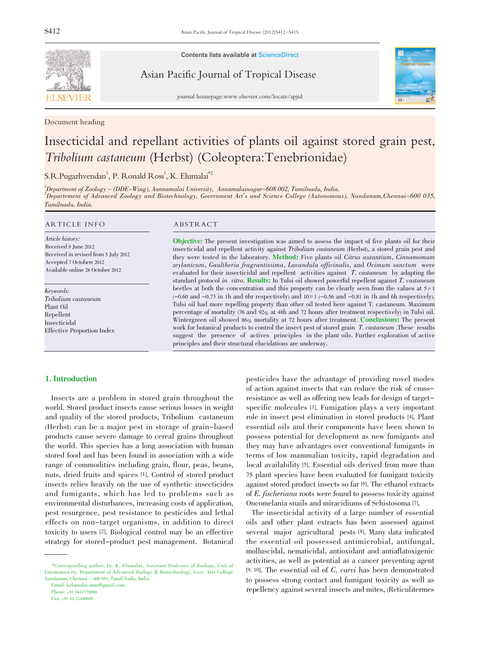

Document heading

Contents lists available at ScienceDirect

Asian Pacific Journal of Tropical Disease



journal homepage:www.elsevier.com/locate/apjtd

# Insecticidal and repellant activities of plants oil against stored grain pest, Tribolium castaneum (Herbst) (Coleoptera:Tenebrionidae)

# $S.R.Pugazhvendan<sup>1</sup>, P. Ronald Ross<sup>1</sup>, K. Elumalai<sup>*2</sup>$

1 Department of Zoology - (DDE-Wing), Aannamalai University, Annamalainagar-608 002, Tamilnadu, India. 2 Departement of Advanced Zoology and Biotechnology, Government Art's and Science College (Autonomous), Nandanam,Chennai-600 035, Tamilnadu. India.

#### ARTICLE INFO ABSTRACT

Article history: Received 9 June 2012 Received in revised from 5 July 2012 Accepted 7 Octoberr 2012 Available online 28 October 2012

Keywords: Tribolium castaneum Plant Oil Repellent Insecticidal Effective Proportion Index

Objective: The present investigation was aimed to assess the impact of five plants oil for their insecticidal and repellent activity against Tribolium castaneum (Herbst), a stored grain pest and they were tested in the laboratory. Method: Five plants oil Citrus autantium, Cinnamomum zeylanicum, Gaultheria fragrantissima, Lavandula officinalis, and Ocimum sanctum were evaluated for their insecticidal and repellent activities against T. castaneum by adapting the standard protocol in vitro. Results: In Tulsi oil showed powerful repellent against T. castaneum beetles at both the concentration and this property can be clearly seen from the values at  $5\mu$ 1  $(-0.60$  and  $-0.73$  in 1h and 6hr respectively) and  $10 \mu$  1  $(-0.56$  and  $-0.81$  in 1h and 6h respectively). Tulsi oil had more repelling property than other oil tested here against T. castaneum. Maximum percentage of mortality (76 and 92% at 48h and 72 hours after treatment respectively) in Tulsi oil. Wintergreen oil showed 86% mortality at 72 hours after treatment. Conclusions: The present work for botanical products to control the insect pest of stored grain T. castaneum .These results suggest the presence of actives principles in the plant oils. Further exploration of active principles and their structural elucidations are underway.

#### 1. Introduction

Insects are a problem in stored grain throughout the world. Stored product insects cause serious losses in weight and quality of the stored products, Tribolium castaneum (Herbst) can be a major pest in storage of grain-based products cause severe damage to cereal grains throughout the world. This species has a long association with human stored food and has been found in association with a wide range of commodities including grain, flour, peas, beans, nuts, dried fruits and spices [1]. Control of stored product insects relies heavily on the use of synthetic insecticides and fumigants, which has led to problems such as environmental disturbances, increasing costs of application, pest resurgence, pest resistance to pesticides and lethal effects on non-target organisms, in addition to direct toxicity to users [2]. Biological control may be an effective strategy for stored-product pest management. Botanical

Email: kelumalai.amu@gmail.com.

Phone: +91 9443770090

Fax: +91 44 22440049

pesticides have the advantage of providing novel modes of action against insects that can reduce the risk of crossresistance as well as offering new leads for design of targetspecific molecules [3]. Fumigation plays a very important role in insect pest elimination in stored products [4]. Plant essential oils and their components have been shown to possess potential for development as new fumigants and they may have advantages over conventional fumigants in terms of low mammalian toxicity, rapid degradation and local availability [5]. Essential oils derived from more than 75 plant species have been evaluated for fumigant toxicity against stored product insects so far [6]. The ethanol extracts of E. fischeriana roots were found to possess toxicity against Oncomelania snails and miracidiums of Schistosoma [7].

The insecticidal activity of a large number of essential oils and other plant extracts has been assessed against several major agricultural pests [8]. Many data indicated the essential oil possessed antimicrobial, antifungal, molluscidal, nematicidal, antioxidant and antiaflatoxigenic activities, as well as potential as a cancer preventing agent [9, 10]. The essential oil of C. carvi has been demonstrated to possess strong contact and fumigant toxicity as well as repellency against several insects and mites, (Reticulitermes

<sup>\*</sup>Corresponding author: Dr. K. Elumalai, Assistant Professor of Zoology, Unit of Entomotoxicity, Department of Advanced Zoology & Biotechnology, Govt. Arts College Nandanam, Chennai - 600 035, Tamil Nadu, India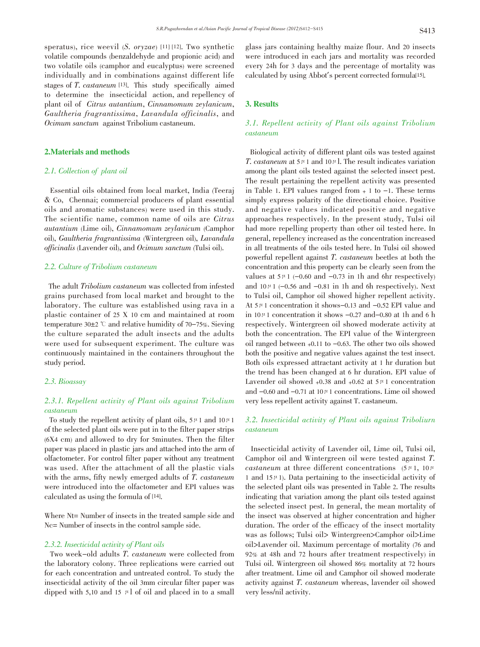speratus), rice weevil  $(S. or yzae)$  [11] [12]. Two synthetic volatile compounds (benzaldehyde and propionic acid) and two volatile oils (camphor and eucalyptus) were screened individually and in combinations against different life stages of T. castaneum [13]. This study specifically aimed to determine the insecticidal action, and repellency of plant oil of Citrus autantium, Cinnamomum zeylanicum, Gaultheria fragrantissima, Lavandula officinalis, and Ocimum sanctum against Tribolium castaneum.

### 2.Materials and methods

#### 2.1. Collection of plant oil

Essential oils obtained from local market, India (Teeraj & Co, Chennai; commercial producers of plant essential oils and aromatic substances) were used in this study. The scientific name, common name of oils are Citrus autantium (Lime oil), Cinnamomum zeylanicum (Camphor oil), Gaultheria fragrantissima (Wintergreen oil), Lavandula officinalis (Lavender oil), and Ocimum sanctum (Tulsi oil).

#### 2.2. Culture of Tribolium castaneum

The adult Tribolium castaneum was collected from infested grains purchased from local market and brought to the laboratory. The culture was established using rava in a plastic container of 25 X 10 cm and maintained at room temperature 30 $\pm$ 2 °C and relative humidity of 70-75%. Sieving the culture separated the adult insects and the adults were used for subsequent experiment. The culture was continuously maintained in the containers throughout the study period.

### 2.3. Bioassay

# 2.3.1. Repellent activity of Plant oils against Tribolium castaneum

To study the repellent activity of plant oils,  $5 \mu 1$  and  $10 \mu 1$ of the selected plant oils were put in to the filter paper strips (6X4 cm) and allowed to dry for 5minutes. Then the filter paper was placed in plastic jars and attached into the arm of olfactometer. For control filter paper without any treatment was used. After the attachment of all the plastic vials with the arms, fifty newly emerged adults of T. castaneum were introduced into the olfactometer and EPI values was calculated as using the formula of [14].

Where Nt= Number of insects in the treated sample side and Nc= Number of insects in the control sample side.

#### 2.3.2. Insecticidal activity of Plant oils

Two week-old adults T. castaneum were collected from the laboratory colony. Three replications were carried out for each concentration and untreated control. To study the insecticidal activity of the oil 3mm circular filter paper was dipped with 5,10 and 15  $\mu$ l of oil and placed in to a small

glass jars containing healthy maize flour. And 20 insects were introduced in each jars and mortality was recorded every 24h for 3 days and the percentage of mortality was calculated by using Abbot's percent corrected formula[15].

#### 3. Results

# 3.1. Repellent activity of Plant oils against Tribolium castaneum

Biological activity of different plant oils was tested against T. castaneum at  $5\mu$  1 and  $10\mu$ . The result indicates variation among the plant oils tested against the selected insect pest. The result pertaining the repellent activity was presented in Table 1. EPI values ranged from  $+1$  to  $-1$ . These terms simply express polarity of the directional choice. Positive and negative values indicated positive and negative approaches respectively. In the present study, Tulsi oil had more repelling property than other oil tested here. In general, repellency increased as the concentration increased in all treatments of the oils tested here. In Tulsi oil showed powerful repellent against T. castaneum beetles at both the concentration and this property can be clearly seen from the values at  $5\mu$ 1 (-0.60 and -0.73 in 1h and 6hr respectively) and  $10\mu$  1 (-0.56 and -0.81 in 1h and 6h respectively). Next to Tulsi oil, Camphor oil showed higher repellent activity. At  $5\mu$ 1 concentration it shows-0.13 and -0.52 EPI value and in  $10 \mu$  1 concentration it shows  $-0.27$  and  $-0.80$  at 1h and 6 h respectively. Wintergreen oil showed moderate activity at both the concentration. The EPI value of the Wintergreen oil ranged between  $+0.11$  to  $-0.63$ . The other two oils showed both the positive and negative values against the test insect. Both oils expressed attractant activity at 1 hr duration but the trend has been changed at 6 hr duration. EPI value of Lavender oil showed  $+0.38$  and  $+0.62$  at  $5\mu$ 1 concentration and  $-0.60$  and  $-0.71$  at  $10 \mu$ 1 concentrations. Lime oil showed very less repellent activity against T. castaneum.

# 3.2. Insecticidal activity of Plant oils against Triboliurn castaneum

Insecticidal activity of Lavender oil, Lime oil, Tulsi oil, Camphor oil and Wintergreen oil were tested against T. castaneum at three different concentrations  $(5 \mu 1, 10 \mu)$ 1 and 15 $\mu$ 1). Data pertaining to the insecticidal activity of the selected plant oils was presented in Table 2. The results indicating that variation among the plant oils tested against the selected insect pest. In general, the mean mortality of the insect was observed at higher concentration and higher duration. The order of the efficacy of the insect mortality was as follows; Tulsi oil> Wintergreen>Camphor oil>Lime oil>Lavender oil. Maximum percentage of mortality (76 and 92% at 48h and 72 hours after treatment respectively) in Tulsi oil. Wintergreen oil showed 86% mortality at 72 hours after treatment. Lime oil and Camphor oil showed moderate activity against T. castaneum whereas, lavender oil showed very less/nil activity.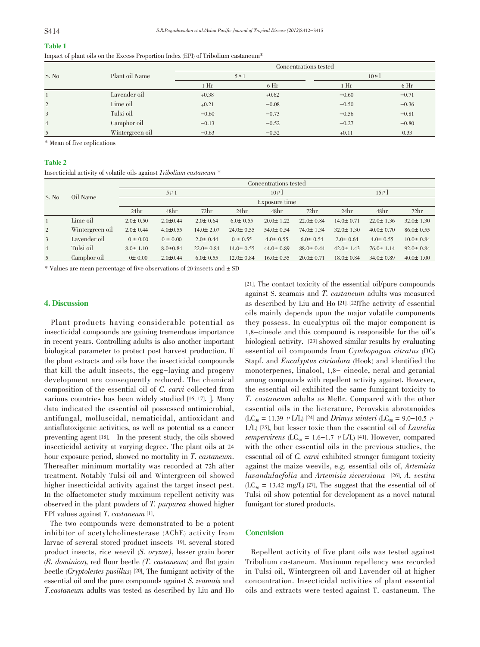| ----<br>۰.<br>۰.<br>M. |  |
|------------------------|--|
|                        |  |

|                |                 | Concentrations tested |                 |          |                 |  |  |
|----------------|-----------------|-----------------------|-----------------|----------|-----------------|--|--|
| S. No          | Plant oil Name  | $5 \mu 1$             |                 | $10 \mu$ |                 |  |  |
|                |                 | 1 <sup>Hr</sup>       | 6 <sub>hr</sub> | $1$ Hr   | 6 <sub>hr</sub> |  |  |
|                | Lavender oil    | $+0.38$               | $+0.62$         | $-0.60$  | $-0.71$         |  |  |
| $\overline{2}$ | Lime oil        | $+0.21$               | $-0.08$         | $-0.50$  | $-0.36$         |  |  |
| 3              | Tulsi oil       | $-0.60$               | $-0.73$         | $-0.56$  | $-0.81$         |  |  |
| $\overline{4}$ | Camphor oil     | $-0.13$               | $-0.52$         | $-0.27$  | $-0.80$         |  |  |
| 5              | Wintergreen oil | $-0.63$               | $-0.52$         | $+0.11$  | 0.33            |  |  |

Impact of plant oils on the Excess Proportion Index (EPI) of Tribolium castaneum\*

\* Mean of five replications

#### Table 2

Insecticidal activity of volatile oils against Tribolium castaneum \*

|                | Oil Name        |                |                |                  |                 | Concentrations tested |                  |                 |                 |                 |
|----------------|-----------------|----------------|----------------|------------------|-----------------|-----------------------|------------------|-----------------|-----------------|-----------------|
| S. No          |                 |                | $5 \mu 1$      |                  |                 | $10 \mu$              |                  |                 | $15 \mu$        |                 |
|                |                 | Exposure time  |                |                  |                 |                       |                  |                 |                 |                 |
|                |                 | 24hr           | 48hr           | 72 <sub>hr</sub> | 24hr            | 48 <sub>hr</sub>      | 72 <sub>hr</sub> | 24hr            | 48hr            | 72hr            |
|                | Lime oil        | $2.0 \pm 0.50$ | $2.0 \pm 0.44$ | $2.0 \pm 0.64$   | $6.0 \pm 0.55$  | $20.0 \pm 1.22$       | $22.0 \pm 0.84$  | $14.0 \pm 0.71$ | $22.0 \pm 1.36$ | $32.0 \pm 1.30$ |
| 2              | Wintergreen oil | $2.0 \pm 0.44$ | $4.0 \pm 0.55$ | $14.0 \pm 2.07$  | $24.0 \pm 0.55$ | $54.0 \pm 0.54$       | $74.0 \pm 1.34$  | $32.0 \pm 1.30$ | $40.0 \pm 0.70$ | $86.0 \pm 0.55$ |
| $\overline{3}$ | Lavender oil    | $0 \pm 0.00$   | $0 \pm 0.00$   | $2.0 \pm 0.44$   | $0 \pm 0.55$    | $4.0 \pm 0.55$        | $6.0 \pm 0.54$   | $2.0 \pm 0.64$  | $4.0 \pm 0.55$  | $10.0 \pm 0.84$ |
| $\overline{4}$ | Tulsi oil       | $8.0 \pm 1.10$ | $8.0 \pm 0.84$ | $22.0 \pm 0.84$  | $14.0 \pm 0.55$ | $44.0 \pm 0.89$       | $88.0 \pm 0.44$  | $42.0 \pm 1.43$ | $76.0 \pm 1.14$ | $92.0 \pm 0.84$ |
| 5              | Camphor oil     | 0±0.00         | $2.0 \pm 0.44$ | $6.0 \pm 0.55$   | $12.0 \pm 0.84$ | $16.0 \pm 0.55$       | $20.0 \pm 0.71$  | $18.0 \pm 0.84$ | $34.0 \pm 0.89$ | $40.0 \pm 1.00$ |

 $*$  Values are mean percentage of five observations of 20 insects and  $\pm$  SD

#### 4. Discussion

Plant products having considerable potential as insecticidal compounds are gaining tremendous importance in recent years. Controlling adults is also another important biological parameter to protect post harvest production. If the plant extracts and oils have the insecticidal compounds that kill the adult insects, the egg-laying and progeny development are consequently reduced. The chemical composition of the essential oil of C. carvi collected from various countries has been widely studied [16, 17]. ]. Many data indicated the essential oil possessed antimicrobial, antifungal, molluscidal, nematicidal, antioxidant and antiaflatoxigenic activities, as well as potential as a cancer preventing agent [18]. In the present study, the oils showed insecticidal activity at varying degree. The plant oils at 24 hour exposure period, showed no mortality in T. castaneum. Thereafter minimum mortality was recorded at 72h after treatment. Notably Tulsi oil and Wintergreen oil showed higher insecticidal activity against the target insect pest. In the olfactometer study maximum repellent activity was observed in the plant powders of T. purpurea showed higher EPI values against T. castaneum [1].

The two compounds were demonstrated to be a potent inhibitor of acetylcholinesterase (AChE) activity from larvae of several stored product insects [19]. several stored product insects, rice weevil (S. oryzae), lesser grain borer  $(R. dominica)$ , red flour beetle  $(T. castaneum)$  and flat grain beetle (Cryptolestes pusillus) [20], The fumigant activity of the essential oil and the pure compounds against S. zeamais and T.castaneum adults was tested as described by Liu and Ho

[21]. The contact toxicity of the essential oil/pure compounds against S. zeamais and T. castaneum adults was measured as described by Liu and Ho [21]. [22]The activity of essential oils mainly depends upon the major volatile components they possess. In eucalyptus oil the major component is 1,8-cineole and this compound is responsible for the oil's biological activity. [23] showed similar results by evaluating essential oil compounds from Cymbopogon citratus (DC) Stapf. and Eucalyptus citriodora (Hook) and identified the monoterpenes, linalool, 1,8- cineole, neral and geranial among compounds with repellent activity against. However, the essential oil exhibited the same fumigant toxicity to T. castaneum adults as MeBr. Compared with the other essential oils in the lieterature, Perovskia abrotanoides (LC<sub>50</sub> = 11.39  $\mu$  L/L) [24] and *Drimys winteri* (LC<sub>50</sub> = 9.0–10.5  $\mu$ ) L/L) [25], but lesser toxic than the essential oil of Laurelia sempervirens (LC<sub>50</sub> = 1.6–1.7  $\mu$  L/L) [41]. However, compared with the other essential oils in the previous studies, the essential oil of C. carvi exhibited stronger fumigant toxicity against the maize weevils, e.g. essential oils of, Artemisia lavandulaefolia and Artemisia sieversiana [26], A. vestita  $(LC_{50} = 13.42 \text{ mg/L})$  [27], The suggest that the essential oil of Tulsi oil show potential for development as a novel natural fumigant for stored products.

#### **Conculsion**

Repellent activity of five plant oils was tested against Tribolium castaneum. Maximum repellency was recorded in Tulsi oil, Wintergreen oil and Lavender oil at higher concentration. Insecticidal activities of plant essential oils and extracts were tested against T. castaneum. The